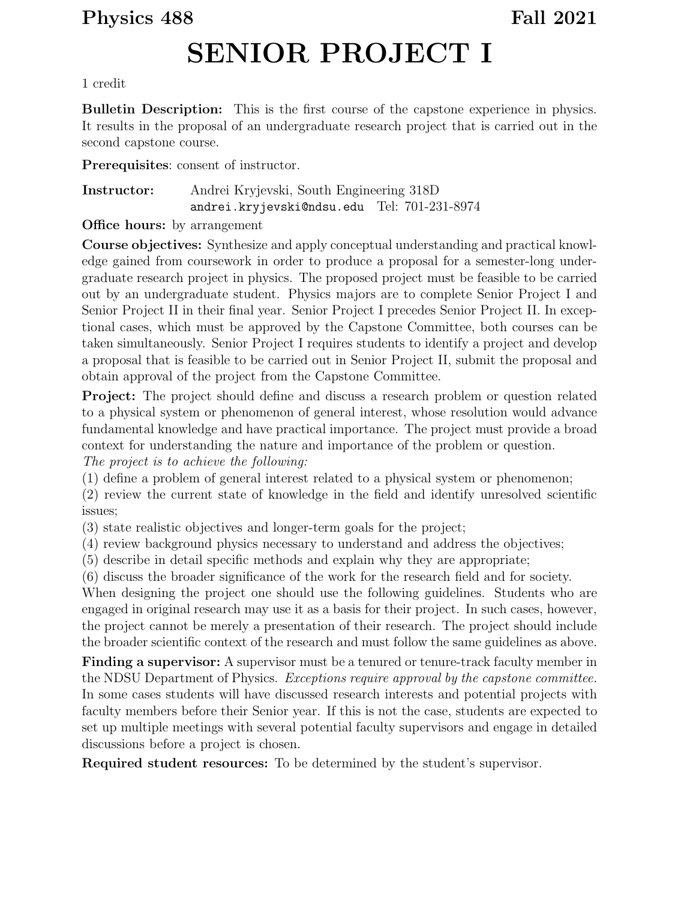## Physics 488 Fall 2021

## SENIOR PROJECT I

## 1 credit

Bulletin Description: This is the first course of the capstone experience in physics. It results in the proposal of an undergraduate research project that is carried out in the second capstone course.

Prerequisites: consent of instructor.

Instructor: Andrei Kryjevski, South Engineering 318D andrei.kryjevski@ndsu.edu Tel: 701-231-8974

**Office hours:** by arrangement

Course objectives: Synthesize and apply conceptual understanding and practical knowledge gained from coursework in order to produce a proposal for a semester-long undergraduate research project in physics. The proposed project must be feasible to be carried out by an undergraduate student. Physics majors are to complete Senior Project I and Senior Project II in their final year. Senior Project I precedes Senior Project II. In exceptional cases, which must be approved by the Capstone Committee, both courses can be taken simultaneously. Senior Project I requires students to identify a project and develop a proposal that is feasible to be carried out in Senior Project II, submit the proposal and obtain approval of the project from the Capstone Committee.

Project: The project should define and discuss a research problem or question related to a physical system or phenomenon of general interest, whose resolution would advance fundamental knowledge and have practical importance. The project must provide a broad context for understanding the nature and importance of the problem or question. The project is to achieve the following:

(1) define a problem of general interest related to a physical system or phenomenon;

(2) review the current state of knowledge in the field and identify unresolved scientific issues;

(3) state realistic objectives and longer-term goals for the project;

(4) review background physics necessary to understand and address the objectives;

(5) describe in detail specific methods and explain why they are appropriate;

(6) discuss the broader significance of the work for the research field and for society.

When designing the project one should use the following guidelines. Students who are engaged in original research may use it as a basis for their project. In such cases, however, the project cannot be merely a presentation of their research. The project should include the broader scientific context of the research and must follow the same guidelines as above.

Finding a supervisor: A supervisor must be a tenured or tenure-track faculty member in the NDSU Department of Physics. Exceptions require approval by the capstone committee. In some cases students will have discussed research interests and potential projects with faculty members before their Senior year. If this is not the case, students are expected to set up multiple meetings with several potential faculty supervisors and engage in detailed discussions before a project is chosen.

Required student resources: To be determined by the student's supervisor.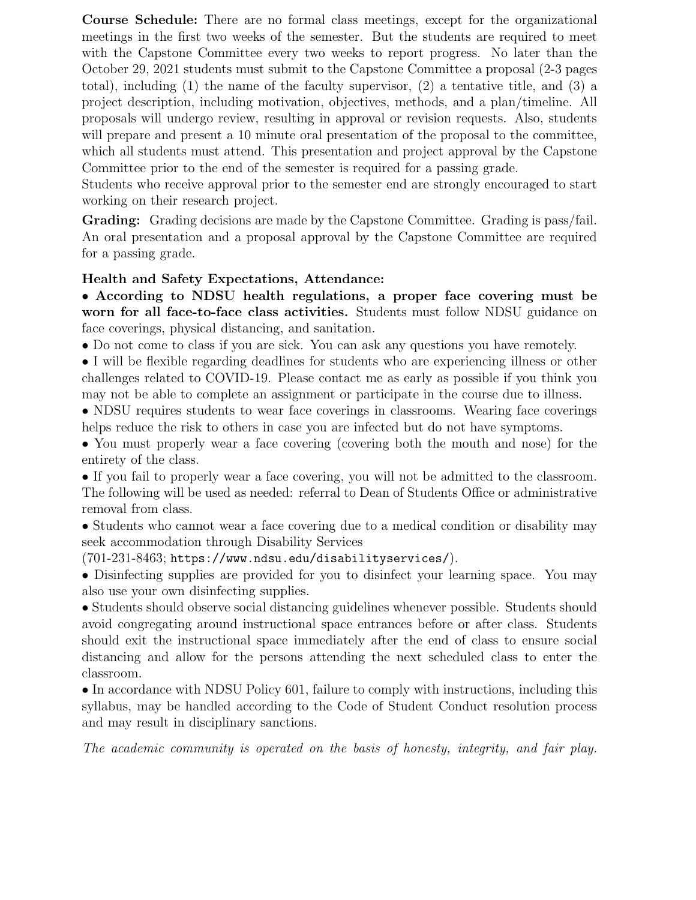Course Schedule: There are no formal class meetings, except for the organizational meetings in the first two weeks of the semester. But the students are required to meet with the Capstone Committee every two weeks to report progress. No later than the October 29, 2021 students must submit to the Capstone Committee a proposal (2-3 pages total), including  $(1)$  the name of the faculty supervisor,  $(2)$  a tentative title, and  $(3)$  a project description, including motivation, objectives, methods, and a plan/timeline. All proposals will undergo review, resulting in approval or revision requests. Also, students will prepare and present a 10 minute oral presentation of the proposal to the committee, which all students must attend. This presentation and project approval by the Capstone Committee prior to the end of the semester is required for a passing grade.

Students who receive approval prior to the semester end are strongly encouraged to start working on their research project.

Grading: Grading decisions are made by the Capstone Committee. Grading is pass/fail. An oral presentation and a proposal approval by the Capstone Committee are required for a passing grade.

## Health and Safety Expectations, Attendance:

• According to NDSU health regulations, a proper face covering must be worn for all face-to-face class activities. Students must follow NDSU guidance on face coverings, physical distancing, and sanitation.

• Do not come to class if you are sick. You can ask any questions you have remotely.

• I will be flexible regarding deadlines for students who are experiencing illness or other challenges related to COVID-19. Please contact me as early as possible if you think you may not be able to complete an assignment or participate in the course due to illness.

• NDSU requires students to wear face coverings in classrooms. Wearing face coverings helps reduce the risk to others in case you are infected but do not have symptoms.

• You must properly wear a face covering (covering both the mouth and nose) for the entirety of the class.

• If you fail to properly wear a face covering, you will not be admitted to the classroom. The following will be used as needed: referral to Dean of Students Office or administrative removal from class.

• Students who cannot wear a face covering due to a medical condition or disability may seek accommodation through Disability Services

(701-231-8463; https://www.ndsu.edu/disabilityservices/).

• Disinfecting supplies are provided for you to disinfect your learning space. You may also use your own disinfecting supplies.

• Students should observe social distancing guidelines whenever possible. Students should avoid congregating around instructional space entrances before or after class. Students should exit the instructional space immediately after the end of class to ensure social distancing and allow for the persons attending the next scheduled class to enter the classroom.

• In accordance with NDSU Policy 601, failure to comply with instructions, including this syllabus, may be handled according to the Code of Student Conduct resolution process and may result in disciplinary sanctions.

The academic community is operated on the basis of honesty, integrity, and fair play.